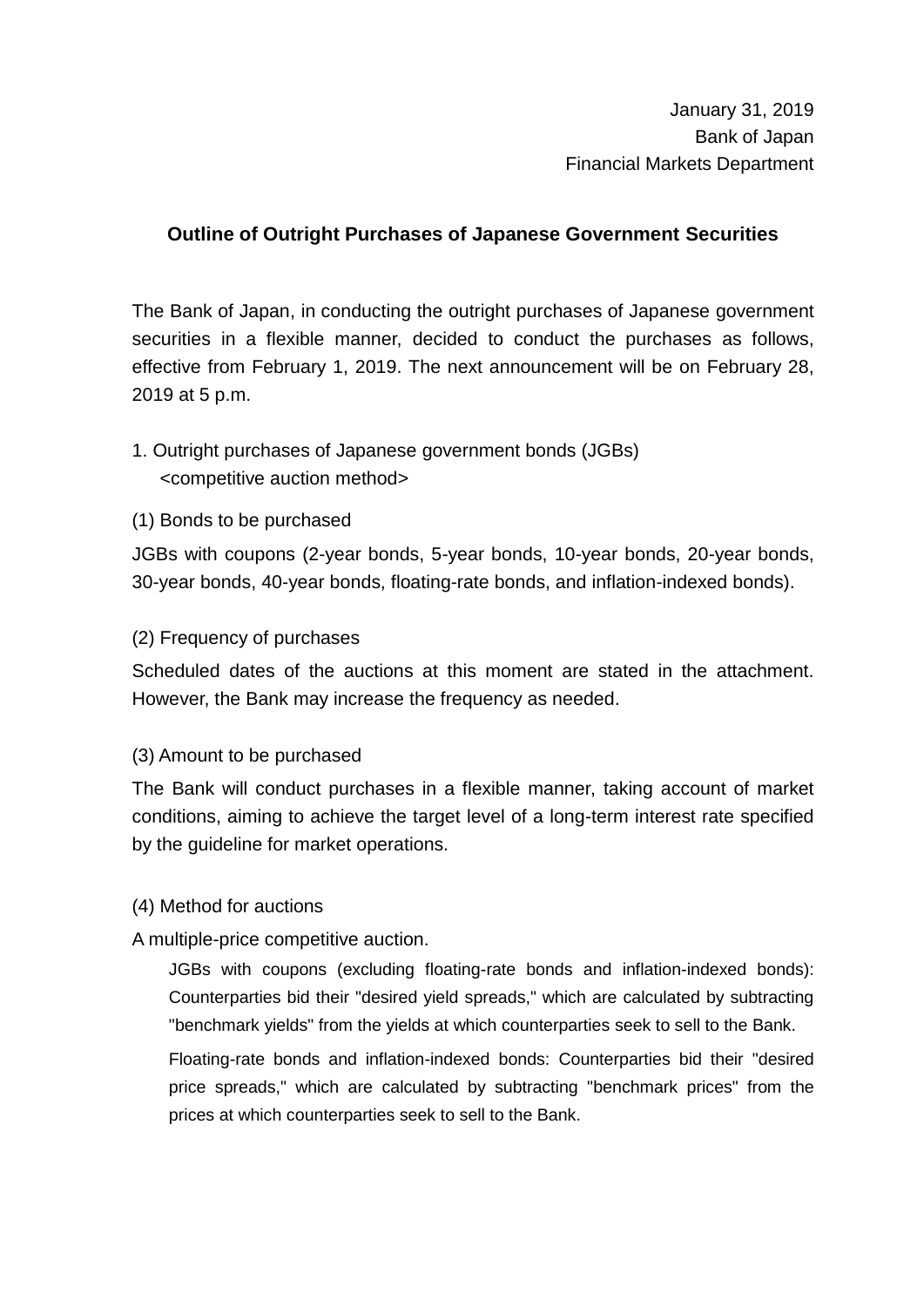# **Outline of Outright Purchases of Japanese Government Securities**

The Bank of Japan, in conducting the outright purchases of Japanese government securities in a flexible manner, decided to conduct the purchases as follows, effective from February 1, 2019. The next announcement will be on February 28, 2019 at 5 p.m.

# 1. Outright purchases of Japanese government bonds (JGBs) <competitive auction method>

(1) Bonds to be purchased

JGBs with coupons (2-year bonds, 5-year bonds, 10-year bonds, 20-year bonds, 30-year bonds, 40-year bonds, floating-rate bonds, and inflation-indexed bonds).

#### (2) Frequency of purchases

Scheduled dates of the auctions at this moment are stated in the attachment. However, the Bank may increase the frequency as needed.

#### (3) Amount to be purchased

The Bank will conduct purchases in a flexible manner, taking account of market conditions, aiming to achieve the target level of a long-term interest rate specified by the guideline for market operations.

### (4) Method for auctions

A multiple-price competitive auction.

JGBs with coupons (excluding floating-rate bonds and inflation-indexed bonds): Counterparties bid their "desired yield spreads," which are calculated by subtracting "benchmark yields" from the yields at which counterparties seek to sell to the Bank.

Floating-rate bonds and inflation-indexed bonds: Counterparties bid their "desired price spreads," which are calculated by subtracting "benchmark prices" from the prices at which counterparties seek to sell to the Bank.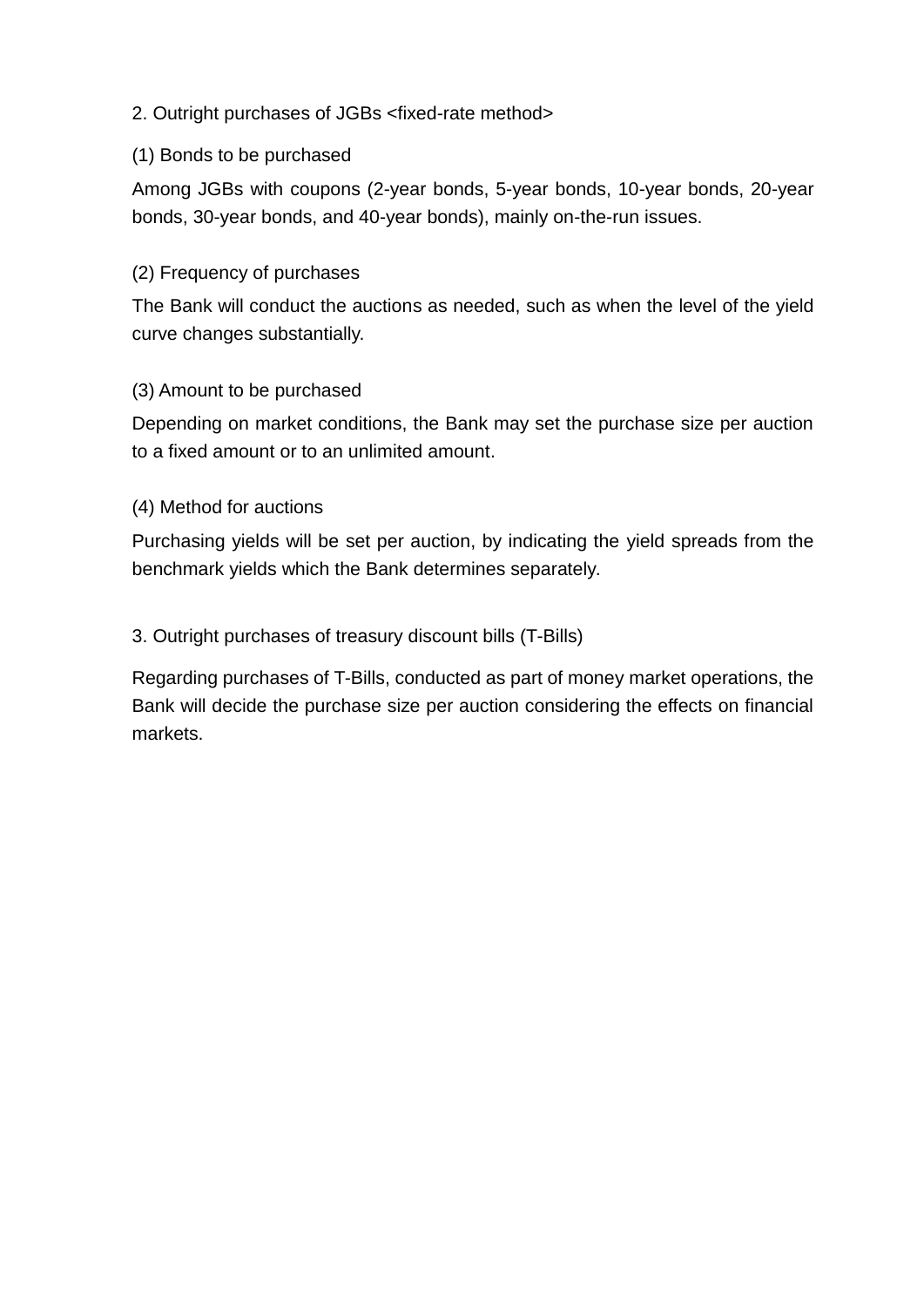## 2. Outright purchases of JGBs <fixed-rate method>

#### (1) Bonds to be purchased

Among JGBs with coupons (2-year bonds, 5-year bonds, 10-year bonds, 20-year bonds, 30-year bonds, and 40-year bonds), mainly on-the-run issues.

#### (2) Frequency of purchases

The Bank will conduct the auctions as needed, such as when the level of the yield curve changes substantially.

#### (3) Amount to be purchased

Depending on market conditions, the Bank may set the purchase size per auction to a fixed amount or to an unlimited amount.

#### (4) Method for auctions

Purchasing yields will be set per auction, by indicating the yield spreads from the benchmark yields which the Bank determines separately.

### 3. Outright purchases of treasury discount bills (T-Bills)

Regarding purchases of T-Bills, conducted as part of money market operations, the Bank will decide the purchase size per auction considering the effects on financial markets.